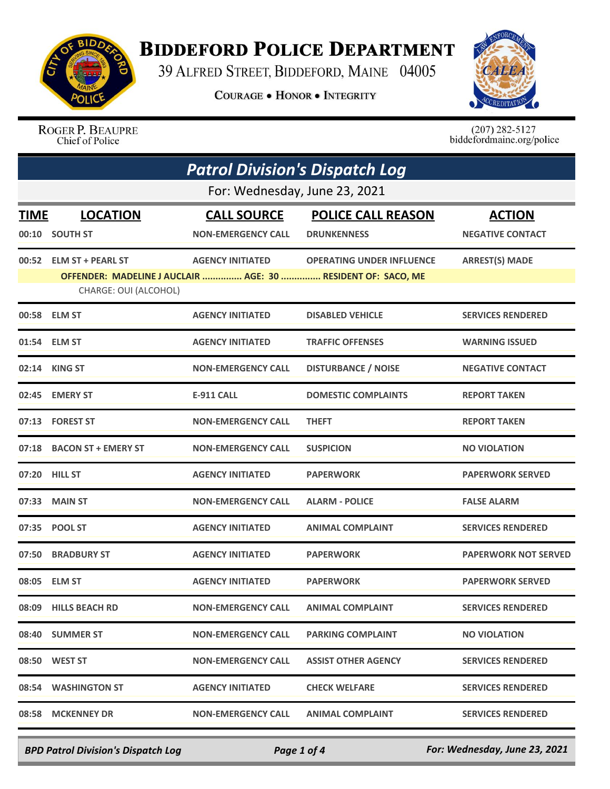

## **BIDDEFORD POLICE DEPARTMENT**

39 ALFRED STREET, BIDDEFORD, MAINE 04005

**COURAGE . HONOR . INTEGRITY** 



ROGER P. BEAUPRE Chief of Police

 $(207)$  282-5127<br>biddefordmaine.org/police

| <b>Patrol Division's Dispatch Log</b> |                                                  |                                                                                         |                                                 |                                          |  |
|---------------------------------------|--------------------------------------------------|-----------------------------------------------------------------------------------------|-------------------------------------------------|------------------------------------------|--|
| For: Wednesday, June 23, 2021         |                                                  |                                                                                         |                                                 |                                          |  |
| <b>TIME</b>                           | <b>LOCATION</b><br>00:10 SOUTH ST                | <b>CALL SOURCE</b><br><b>NON-EMERGENCY CALL</b>                                         | <b>POLICE CALL REASON</b><br><b>DRUNKENNESS</b> | <b>ACTION</b><br><b>NEGATIVE CONTACT</b> |  |
|                                       | 00:52 ELM ST + PEARL ST<br>CHARGE: OUI (ALCOHOL) | <b>AGENCY INITIATED</b><br>OFFENDER: MADELINE J AUCLAIR  AGE: 30  RESIDENT OF: SACO, ME | <b>OPERATING UNDER INFLUENCE</b>                | <b>ARREST(S) MADE</b>                    |  |
|                                       | 00:58 ELM ST                                     | <b>AGENCY INITIATED</b>                                                                 | <b>DISABLED VEHICLE</b>                         | <b>SERVICES RENDERED</b>                 |  |
|                                       | 01:54 ELM ST                                     | <b>AGENCY INITIATED</b>                                                                 | <b>TRAFFIC OFFENSES</b>                         | <b>WARNING ISSUED</b>                    |  |
|                                       | 02:14 KING ST                                    | <b>NON-EMERGENCY CALL</b>                                                               | <b>DISTURBANCE / NOISE</b>                      | <b>NEGATIVE CONTACT</b>                  |  |
| 02:45                                 | <b>EMERY ST</b>                                  | <b>E-911 CALL</b>                                                                       | <b>DOMESTIC COMPLAINTS</b>                      | <b>REPORT TAKEN</b>                      |  |
|                                       | 07:13 FOREST ST                                  | <b>NON-EMERGENCY CALL</b>                                                               | <b>THEFT</b>                                    | <b>REPORT TAKEN</b>                      |  |
| 07:18                                 | <b>BACON ST + EMERY ST</b>                       | <b>NON-EMERGENCY CALL</b>                                                               | <b>SUSPICION</b>                                | <b>NO VIOLATION</b>                      |  |
|                                       | 07:20 HILL ST                                    | <b>AGENCY INITIATED</b>                                                                 | <b>PAPERWORK</b>                                | <b>PAPERWORK SERVED</b>                  |  |
| 07:33                                 | <b>MAIN ST</b>                                   | <b>NON-EMERGENCY CALL</b>                                                               | <b>ALARM - POLICE</b>                           | <b>FALSE ALARM</b>                       |  |
| 07:35                                 | <b>POOL ST</b>                                   | <b>AGENCY INITIATED</b>                                                                 | <b>ANIMAL COMPLAINT</b>                         | <b>SERVICES RENDERED</b>                 |  |
| 07:50                                 | <b>BRADBURY ST</b>                               | <b>AGENCY INITIATED</b>                                                                 | <b>PAPERWORK</b>                                | <b>PAPERWORK NOT SERVED</b>              |  |
| 08:05                                 | <b>ELM ST</b>                                    | <b>AGENCY INITIATED</b>                                                                 | <b>PAPERWORK</b>                                | <b>PAPERWORK SERVED</b>                  |  |
|                                       | 08:09 HILLS BEACH RD                             | <b>NON-EMERGENCY CALL</b>                                                               | <b>ANIMAL COMPLAINT</b>                         | <b>SERVICES RENDERED</b>                 |  |
|                                       | 08:40 SUMMER ST                                  | <b>NON-EMERGENCY CALL</b>                                                               | <b>PARKING COMPLAINT</b>                        | <b>NO VIOLATION</b>                      |  |
|                                       | 08:50 WEST ST                                    | <b>NON-EMERGENCY CALL</b>                                                               | <b>ASSIST OTHER AGENCY</b>                      | <b>SERVICES RENDERED</b>                 |  |
|                                       | 08:54 WASHINGTON ST                              | <b>AGENCY INITIATED</b>                                                                 | <b>CHECK WELFARE</b>                            | <b>SERVICES RENDERED</b>                 |  |
| 08:58                                 | <b>MCKENNEY DR</b>                               | <b>NON-EMERGENCY CALL</b>                                                               | <b>ANIMAL COMPLAINT</b>                         | <b>SERVICES RENDERED</b>                 |  |

*BPD Patrol Division's Dispatch Log Page 1 of 4 For: Wednesday, June 23, 2021*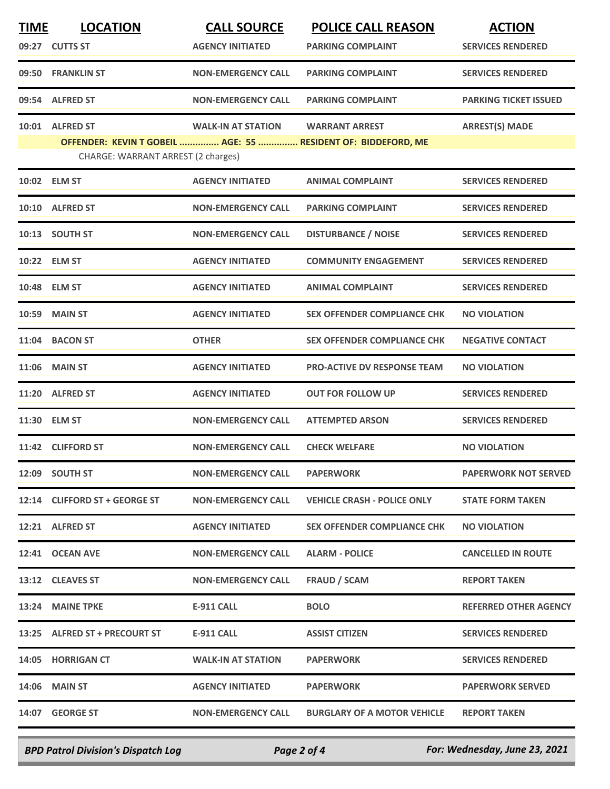| <b>TIME</b> | <b>LOCATION</b>                    | <b>CALL SOURCE</b>        | <b>POLICE CALL REASON</b>                                     | <b>ACTION</b>                |
|-------------|------------------------------------|---------------------------|---------------------------------------------------------------|------------------------------|
|             | 09:27 CUTTS ST                     | <b>AGENCY INITIATED</b>   | <b>PARKING COMPLAINT</b>                                      | <b>SERVICES RENDERED</b>     |
|             | 09:50 FRANKLIN ST                  | <b>NON-EMERGENCY CALL</b> | <b>PARKING COMPLAINT</b>                                      | <b>SERVICES RENDERED</b>     |
|             | 09:54 ALFRED ST                    | <b>NON-EMERGENCY CALL</b> | <b>PARKING COMPLAINT</b>                                      | <b>PARKING TICKET ISSUED</b> |
| 10:01       | <b>ALFRED ST</b>                   | <b>WALK-IN AT STATION</b> | <b>WARRANT ARREST</b>                                         | <b>ARREST(S) MADE</b>        |
|             | CHARGE: WARRANT ARREST (2 charges) |                           | OFFENDER: KEVIN T GOBEIL  AGE: 55  RESIDENT OF: BIDDEFORD, ME |                              |
|             | 10:02 ELM ST                       | <b>AGENCY INITIATED</b>   | <b>ANIMAL COMPLAINT</b>                                       | <b>SERVICES RENDERED</b>     |
| 10:10       | <b>ALFRED ST</b>                   | <b>NON-EMERGENCY CALL</b> | <b>PARKING COMPLAINT</b>                                      | <b>SERVICES RENDERED</b>     |
| 10:13       | <b>SOUTH ST</b>                    | <b>NON-EMERGENCY CALL</b> | <b>DISTURBANCE / NOISE</b>                                    | <b>SERVICES RENDERED</b>     |
|             | 10:22 ELM ST                       | <b>AGENCY INITIATED</b>   | <b>COMMUNITY ENGAGEMENT</b>                                   | <b>SERVICES RENDERED</b>     |
| 10:48       | <b>ELM ST</b>                      | <b>AGENCY INITIATED</b>   | <b>ANIMAL COMPLAINT</b>                                       | <b>SERVICES RENDERED</b>     |
| 10:59       | <b>MAIN ST</b>                     | <b>AGENCY INITIATED</b>   | <b>SEX OFFENDER COMPLIANCE CHK</b>                            | <b>NO VIOLATION</b>          |
| 11:04       | <b>BACON ST</b>                    | <b>OTHER</b>              | <b>SEX OFFENDER COMPLIANCE CHK</b>                            | <b>NEGATIVE CONTACT</b>      |
| 11:06       | <b>MAIN ST</b>                     | <b>AGENCY INITIATED</b>   | <b>PRO-ACTIVE DV RESPONSE TEAM</b>                            | <b>NO VIOLATION</b>          |
| 11:20       | <b>ALFRED ST</b>                   | <b>AGENCY INITIATED</b>   | <b>OUT FOR FOLLOW UP</b>                                      | <b>SERVICES RENDERED</b>     |
|             | 11:30 ELM ST                       | <b>NON-EMERGENCY CALL</b> | <b>ATTEMPTED ARSON</b>                                        | <b>SERVICES RENDERED</b>     |
|             | 11:42 CLIFFORD ST                  | <b>NON-EMERGENCY CALL</b> | <b>CHECK WELFARE</b>                                          | <b>NO VIOLATION</b>          |
|             | 12:09 SOUTH ST                     | <b>NON-EMERGENCY CALL</b> | <b>PAPERWORK</b>                                              | <b>PAPERWORK NOT SERVED</b>  |
|             | 12:14 CLIFFORD ST + GEORGE ST      | <b>NON-EMERGENCY CALL</b> | <b>VEHICLE CRASH - POLICE ONLY</b>                            | <b>STATE FORM TAKEN</b>      |
|             | 12:21 ALFRED ST                    | <b>AGENCY INITIATED</b>   | <b>SEX OFFENDER COMPLIANCE CHK</b>                            | <b>NO VIOLATION</b>          |
|             | 12:41 OCEAN AVE                    | <b>NON-EMERGENCY CALL</b> | <b>ALARM - POLICE</b>                                         | <b>CANCELLED IN ROUTE</b>    |
|             | 13:12 CLEAVES ST                   | <b>NON-EMERGENCY CALL</b> | <b>FRAUD / SCAM</b>                                           | <b>REPORT TAKEN</b>          |
|             | 13:24 MAINE TPKE                   | E-911 CALL                | <b>BOLO</b>                                                   | <b>REFERRED OTHER AGENCY</b> |
|             | 13:25 ALFRED ST + PRECOURT ST      | <b>E-911 CALL</b>         | <b>ASSIST CITIZEN</b>                                         | <b>SERVICES RENDERED</b>     |
|             | 14:05 HORRIGAN CT                  | <b>WALK-IN AT STATION</b> | <b>PAPERWORK</b>                                              | <b>SERVICES RENDERED</b>     |
|             | 14:06 MAIN ST                      | <b>AGENCY INITIATED</b>   | <b>PAPERWORK</b>                                              | <b>PAPERWORK SERVED</b>      |
|             | 14:07 GEORGE ST                    | <b>NON-EMERGENCY CALL</b> | <b>BURGLARY OF A MOTOR VEHICLE</b>                            | <b>REPORT TAKEN</b>          |

*BPD Patrol Division's Dispatch Log Page 2 of 4 For: Wednesday, June 23, 2021*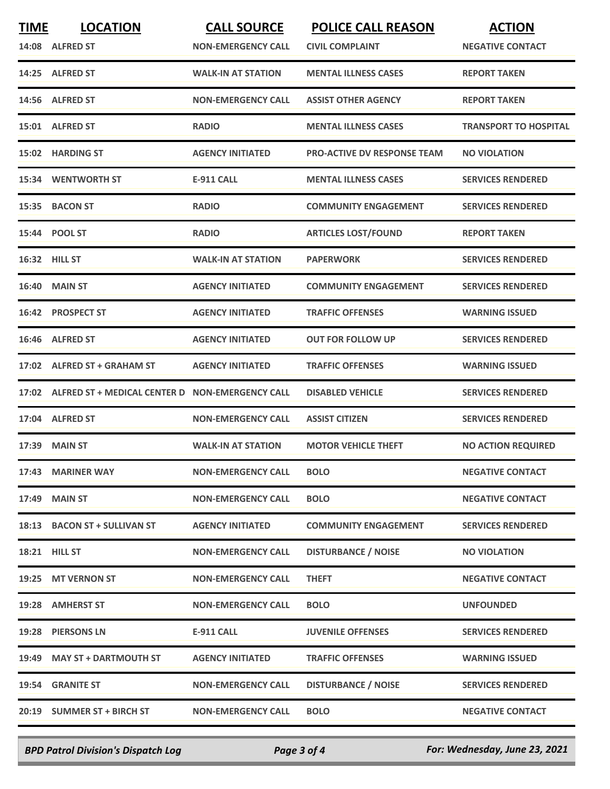| <b>TIME</b> | <b>LOCATION</b>                                       | <b>CALL SOURCE</b>        | <b>POLICE CALL REASON</b>          | <b>ACTION</b>                |
|-------------|-------------------------------------------------------|---------------------------|------------------------------------|------------------------------|
|             | 14:08 ALFRED ST                                       | <b>NON-EMERGENCY CALL</b> | <b>CIVIL COMPLAINT</b>             | <b>NEGATIVE CONTACT</b>      |
|             | 14:25 ALFRED ST                                       | <b>WALK-IN AT STATION</b> | <b>MENTAL ILLNESS CASES</b>        | <b>REPORT TAKEN</b>          |
|             | 14:56 ALFRED ST                                       | <b>NON-EMERGENCY CALL</b> | <b>ASSIST OTHER AGENCY</b>         | <b>REPORT TAKEN</b>          |
|             | 15:01 ALFRED ST                                       | <b>RADIO</b>              | <b>MENTAL ILLNESS CASES</b>        | <b>TRANSPORT TO HOSPITAL</b> |
|             | 15:02 HARDING ST                                      | <b>AGENCY INITIATED</b>   | <b>PRO-ACTIVE DV RESPONSE TEAM</b> | <b>NO VIOLATION</b>          |
|             | <b>15:34 WENTWORTH ST</b>                             | <b>E-911 CALL</b>         | <b>MENTAL ILLNESS CASES</b>        | <b>SERVICES RENDERED</b>     |
| 15:35       | <b>BACON ST</b>                                       | <b>RADIO</b>              | <b>COMMUNITY ENGAGEMENT</b>        | <b>SERVICES RENDERED</b>     |
|             | 15:44 POOL ST                                         | <b>RADIO</b>              | <b>ARTICLES LOST/FOUND</b>         | <b>REPORT TAKEN</b>          |
|             | 16:32 HILL ST                                         | <b>WALK-IN AT STATION</b> | <b>PAPERWORK</b>                   | <b>SERVICES RENDERED</b>     |
|             | <b>16:40 MAIN ST</b>                                  | <b>AGENCY INITIATED</b>   | <b>COMMUNITY ENGAGEMENT</b>        | <b>SERVICES RENDERED</b>     |
|             | 16:42 PROSPECT ST                                     | <b>AGENCY INITIATED</b>   | <b>TRAFFIC OFFENSES</b>            | <b>WARNING ISSUED</b>        |
| 16:46       | <b>ALFRED ST</b>                                      | <b>AGENCY INITIATED</b>   | <b>OUT FOR FOLLOW UP</b>           | <b>SERVICES RENDERED</b>     |
| 17:02       | <b>ALFRED ST + GRAHAM ST</b>                          | <b>AGENCY INITIATED</b>   | <b>TRAFFIC OFFENSES</b>            | <b>WARNING ISSUED</b>        |
|             | 17:02 ALFRED ST + MEDICAL CENTER D NON-EMERGENCY CALL |                           | <b>DISABLED VEHICLE</b>            | <b>SERVICES RENDERED</b>     |
|             | 17:04 ALFRED ST                                       | <b>NON-EMERGENCY CALL</b> | <b>ASSIST CITIZEN</b>              | <b>SERVICES RENDERED</b>     |
| 17:39       | <b>MAIN ST</b>                                        | <b>WALK-IN AT STATION</b> | <b>MOTOR VEHICLE THEFT</b>         | <b>NO ACTION REQUIRED</b>    |
|             | 17:43 MARINER WAY                                     | <b>NON-EMERGENCY CALL</b> | <b>BOLO</b>                        | <b>NEGATIVE CONTACT</b>      |
|             | 17:49 MAIN ST                                         | <b>NON-EMERGENCY CALL</b> | <b>BOLO</b>                        | <b>NEGATIVE CONTACT</b>      |
|             | 18:13 BACON ST + SULLIVAN ST                          | <b>AGENCY INITIATED</b>   | <b>COMMUNITY ENGAGEMENT</b>        | <b>SERVICES RENDERED</b>     |
|             | <b>18:21 HILL ST</b>                                  | <b>NON-EMERGENCY CALL</b> | <b>DISTURBANCE / NOISE</b>         | <b>NO VIOLATION</b>          |
|             | 19:25 MT VERNON ST                                    | <b>NON-EMERGENCY CALL</b> | <b>THEFT</b>                       | <b>NEGATIVE CONTACT</b>      |
|             | 19:28 AMHERST ST                                      | <b>NON-EMERGENCY CALL</b> | <b>BOLO</b>                        | <b>UNFOUNDED</b>             |
|             | 19:28 PIERSONS LN                                     | <b>E-911 CALL</b>         | <b>JUVENILE OFFENSES</b>           | <b>SERVICES RENDERED</b>     |
|             | 19:49 MAY ST + DARTMOUTH ST                           | <b>AGENCY INITIATED</b>   | <b>TRAFFIC OFFENSES</b>            | <b>WARNING ISSUED</b>        |
|             | 19:54 GRANITE ST                                      | <b>NON-EMERGENCY CALL</b> | <b>DISTURBANCE / NOISE</b>         | <b>SERVICES RENDERED</b>     |
|             | 20:19 SUMMER ST + BIRCH ST                            | <b>NON-EMERGENCY CALL</b> | <b>BOLO</b>                        | <b>NEGATIVE CONTACT</b>      |
|             |                                                       |                           |                                    |                              |

*BPD Patrol Division's Dispatch Log Page 3 of 4 For: Wednesday, June 23, 2021*